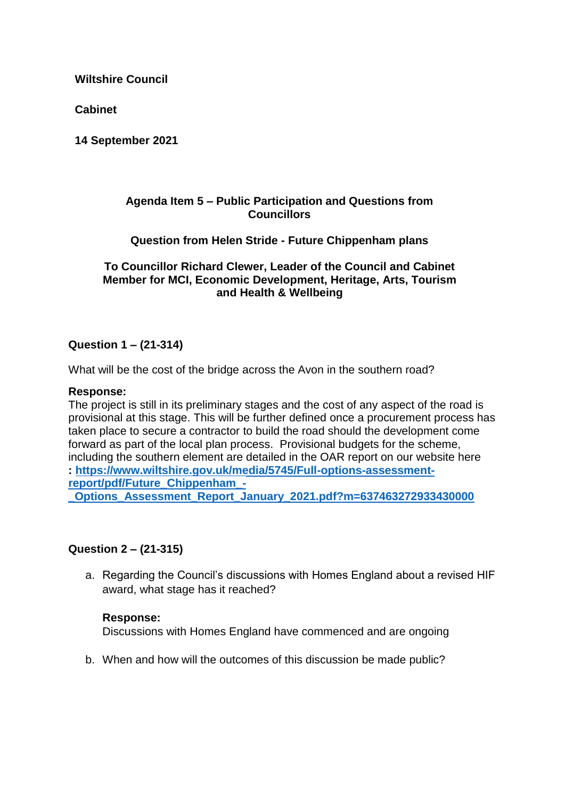**Cabinet**

**14 September 2021**

### **Agenda Item 5 – Public Participation and Questions from Councillors**

**Question from Helen Stride - Future Chippenham plans**

#### **To Councillor Richard Clewer, Leader of the Council and Cabinet Member for MCI, Economic Development, Heritage, Arts, Tourism and Health & Wellbeing**

## **Question 1 – (21-314)**

What will be the cost of the bridge across the Avon in the southern road?

#### **Response:**

The project is still in its preliminary stages and the cost of any aspect of the road is provisional at this stage. This will be further defined once a procurement process has taken place to secure a contractor to build the road should the development come forward as part of the local plan process. Provisional budgets for the scheme, including the southern element are detailed in the OAR report on our website here **: [https://www.wiltshire.gov.uk/media/5745/Full-options-assessment](https://www.wiltshire.gov.uk/media/5745/Full-options-assessment-report/pdf/Future_Chippenham_-_Options_Assessment_Report_January_2021.pdf?m=637463272933430000)[report/pdf/Future\\_Chippenham\\_-](https://www.wiltshire.gov.uk/media/5745/Full-options-assessment-report/pdf/Future_Chippenham_-_Options_Assessment_Report_January_2021.pdf?m=637463272933430000) [\\_Options\\_Assessment\\_Report\\_January\\_2021.pdf?m=637463272933430000](https://www.wiltshire.gov.uk/media/5745/Full-options-assessment-report/pdf/Future_Chippenham_-_Options_Assessment_Report_January_2021.pdf?m=637463272933430000)**

#### **Question 2 – (21-315)**

a. Regarding the Council's discussions with Homes England about a revised HIF award, what stage has it reached?

#### **Response:**

Discussions with Homes England have commenced and are ongoing

b. When and how will the outcomes of this discussion be made public?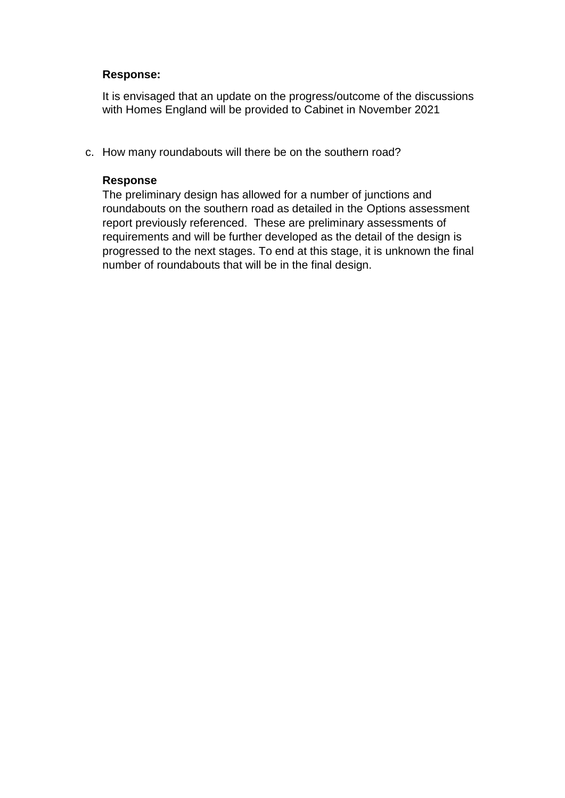#### **Response:**

It is envisaged that an update on the progress/outcome of the discussions with Homes England will be provided to Cabinet in November 2021

c. How many roundabouts will there be on the southern road?

#### **Response**

The preliminary design has allowed for a number of junctions and roundabouts on the southern road as detailed in the Options assessment report previously referenced. These are preliminary assessments of requirements and will be further developed as the detail of the design is progressed to the next stages. To end at this stage, it is unknown the final number of roundabouts that will be in the final design.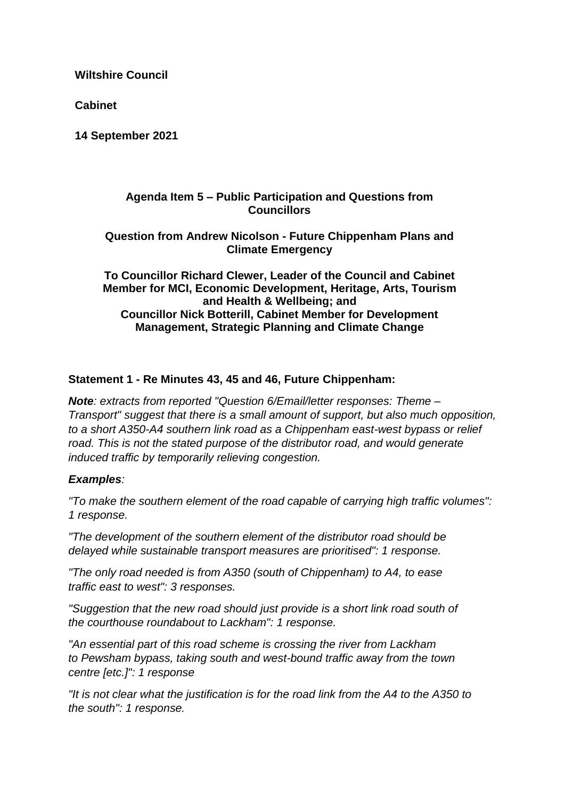**Cabinet**

**14 September 2021**

#### **Agenda Item 5 – Public Participation and Questions from Councillors**

### **Question from Andrew Nicolson - Future Chippenham Plans and Climate Emergency**

**To Councillor Richard Clewer, Leader of the Council and Cabinet Member for MCI, Economic Development, Heritage, Arts, Tourism and Health & Wellbeing; and Councillor Nick Botterill, Cabinet Member for Development Management, Strategic Planning and Climate Change**

### **Statement 1 - Re Minutes 43, 45 and 46, Future Chippenham:**

*Note: extracts from reported "Question 6/Email/letter responses: Theme – Transport" suggest that there is a small amount of support, but also much opposition, to a short A350-A4 southern link road as a Chippenham east-west bypass or relief road. This is not the stated purpose of the distributor road, and would generate induced traffic by temporarily relieving congestion.*

#### *Examples:*

*"To make the southern element of the road capable of carrying high traffic volumes": 1 response.*

*"The development of the southern element of the distributor road should be delayed while sustainable transport measures are prioritised": 1 response.*

*"The only road needed is from A350 (south of Chippenham) to A4, to ease traffic east to west": 3 responses.*

*"Suggestion that the new road should just provide is a short link road south of the courthouse roundabout to Lackham": 1 response.*

*"An essential part of this road scheme is crossing the river from Lackham to Pewsham bypass, taking south and west-bound traffic away from the town centre [etc.]": 1 response*

*"It is not clear what the justification is for the road link from the A4 to the A350 to the south": 1 response.*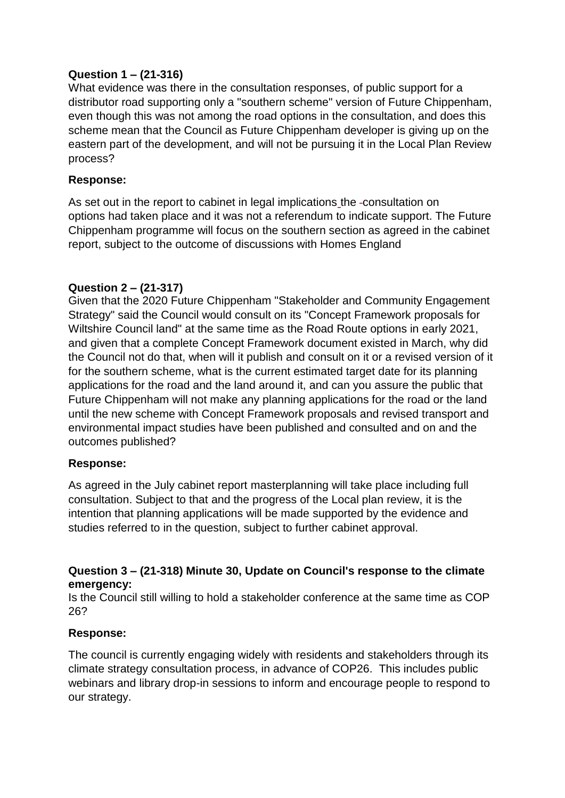### **Question 1 – (21-316)**

What evidence was there in the consultation responses, of public support for a distributor road supporting only a "southern scheme" version of Future Chippenham, even though this was not among the road options in the consultation, and does this scheme mean that the Council as Future Chippenham developer is giving up on the eastern part of the development, and will not be pursuing it in the Local Plan Review process?

### **Response:**

As set out in the report to cabinet in legal implications the -consultation on options had taken place and it was not a referendum to indicate support. The Future Chippenham programme will focus on the southern section as agreed in the cabinet report, subject to the outcome of discussions with Homes England

### **Question 2 – (21-317)**

Given that the 2020 Future Chippenham "Stakeholder and Community Engagement Strategy" said the Council would consult on its "Concept Framework proposals for Wiltshire Council land" at the same time as the Road Route options in early 2021, and given that a complete Concept Framework document existed in March, why did the Council not do that, when will it publish and consult on it or a revised version of it for the southern scheme, what is the current estimated target date for its planning applications for the road and the land around it, and can you assure the public that Future Chippenham will not make any planning applications for the road or the land until the new scheme with Concept Framework proposals and revised transport and environmental impact studies have been published and consulted and on and the outcomes published?

#### **Response:**

As agreed in the July cabinet report masterplanning will take place including full consultation. Subject to that and the progress of the Local plan review, it is the intention that planning applications will be made supported by the evidence and studies referred to in the question, subject to further cabinet approval.

### **Question 3 – (21-318) Minute 30, Update on Council's response to the climate emergency:**

Is the Council still willing to hold a stakeholder conference at the same time as COP 26?

## **Response:**

The council is currently engaging widely with residents and stakeholders through its climate strategy consultation process, in advance of COP26. This includes public webinars and library drop-in sessions to inform and encourage people to respond to our strategy.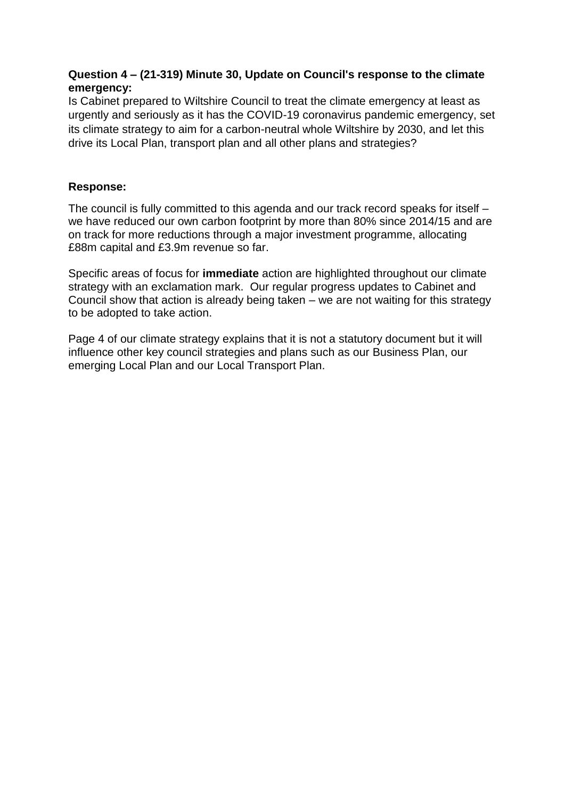## **Question 4 – (21-319) Minute 30, Update on Council's response to the climate emergency:**

Is Cabinet prepared to Wiltshire Council to treat the climate emergency at least as urgently and seriously as it has the COVID-19 coronavirus pandemic emergency, set its climate strategy to aim for a carbon-neutral whole Wiltshire by 2030, and let this drive its Local Plan, transport plan and all other plans and strategies?

## **Response:**

The council is fully committed to this agenda and our track record speaks for itself – we have reduced our own carbon footprint by more than 80% since 2014/15 and are on track for more reductions through a major investment programme, allocating £88m capital and £3.9m revenue so far.

Specific areas of focus for **immediate** action are highlighted throughout our climate strategy with an exclamation mark. Our regular progress updates to Cabinet and Council show that action is already being taken – we are not waiting for this strategy to be adopted to take action.

Page 4 of our climate strategy explains that it is not a statutory document but it will influence other key council strategies and plans such as our Business Plan, our emerging Local Plan and our Local Transport Plan.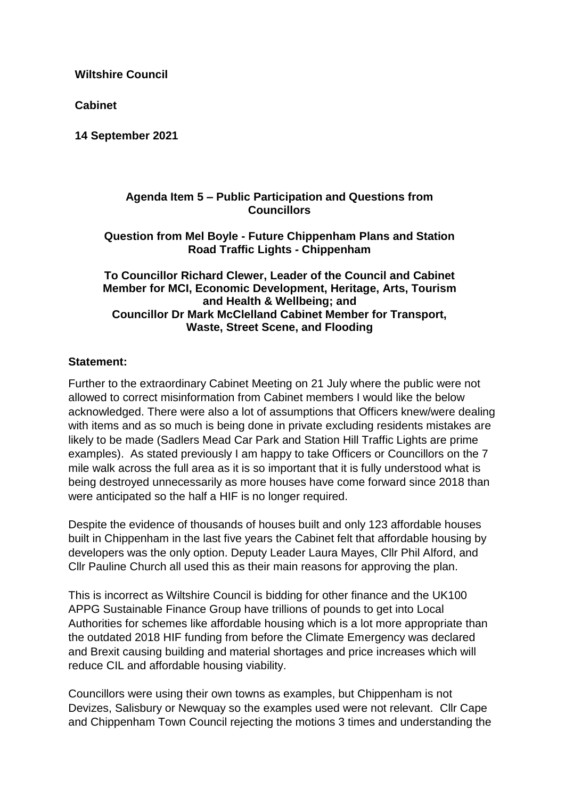**Cabinet**

**14 September 2021**

#### **Agenda Item 5 – Public Participation and Questions from Councillors**

#### **Question from Mel Boyle - Future Chippenham Plans and Station Road Traffic Lights - Chippenham**

### **To Councillor Richard Clewer, Leader of the Council and Cabinet Member for MCI, Economic Development, Heritage, Arts, Tourism and Health & Wellbeing; and Councillor Dr Mark McClelland Cabinet Member for Transport, Waste, Street Scene, and Flooding**

### **Statement:**

Further to the extraordinary Cabinet Meeting on 21 July where the public were not allowed to correct misinformation from Cabinet members I would like the below acknowledged. There were also a lot of assumptions that Officers knew/were dealing with items and as so much is being done in private excluding residents mistakes are likely to be made (Sadlers Mead Car Park and Station Hill Traffic Lights are prime examples). As stated previously I am happy to take Officers or Councillors on the 7 mile walk across the full area as it is so important that it is fully understood what is being destroyed unnecessarily as more houses have come forward since 2018 than were anticipated so the half a HIF is no longer required.

Despite the evidence of thousands of houses built and only 123 affordable houses built in Chippenham in the last five years the Cabinet felt that affordable housing by developers was the only option. Deputy Leader Laura Mayes, Cllr Phil Alford, and Cllr Pauline Church all used this as their main reasons for approving the plan.

This is incorrect as Wiltshire Council is bidding for other finance and the UK100 APPG Sustainable Finance Group have trillions of pounds to get into Local Authorities for schemes like affordable housing which is a lot more appropriate than the outdated 2018 HIF funding from before the Climate Emergency was declared and Brexit causing building and material shortages and price increases which will reduce CIL and affordable housing viability.

Councillors were using their own towns as examples, but Chippenham is not Devizes, Salisbury or Newquay so the examples used were not relevant. Cllr Cape and Chippenham Town Council rejecting the motions 3 times and understanding the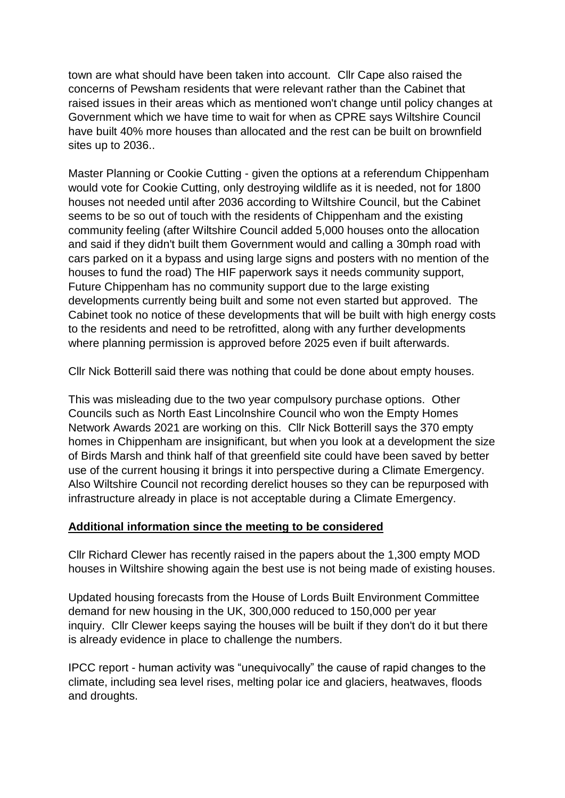town are what should have been taken into account. Cllr Cape also raised the concerns of Pewsham residents that were relevant rather than the Cabinet that raised issues in their areas which as mentioned won't change until policy changes at Government which we have time to wait for when as CPRE says Wiltshire Council have built 40% more houses than allocated and the rest can be built on brownfield sites up to 2036..

Master Planning or Cookie Cutting - given the options at a referendum Chippenham would vote for Cookie Cutting, only destroying wildlife as it is needed, not for 1800 houses not needed until after 2036 according to Wiltshire Council, but the Cabinet seems to be so out of touch with the residents of Chippenham and the existing community feeling (after Wiltshire Council added 5,000 houses onto the allocation and said if they didn't built them Government would and calling a 30mph road with cars parked on it a bypass and using large signs and posters with no mention of the houses to fund the road) The HIF paperwork says it needs community support, Future Chippenham has no community support due to the large existing developments currently being built and some not even started but approved. The Cabinet took no notice of these developments that will be built with high energy costs to the residents and need to be retrofitted, along with any further developments where planning permission is approved before 2025 even if built afterwards.

Cllr Nick Botterill said there was nothing that could be done about empty houses.

This was misleading due to the two year compulsory purchase options. Other Councils such as North East Lincolnshire Council who won the Empty Homes Network Awards 2021 are working on this. Cllr Nick Botterill says the 370 empty homes in Chippenham are insignificant, but when you look at a development the size of Birds Marsh and think half of that greenfield site could have been saved by better use of the current housing it brings it into perspective during a Climate Emergency. Also Wiltshire Council not recording derelict houses so they can be repurposed with infrastructure already in place is not acceptable during a Climate Emergency.

## **Additional information since the meeting to be considered**

Cllr Richard Clewer has recently raised in the papers about the 1,300 empty MOD houses in Wiltshire showing again the best use is not being made of existing houses.

Updated housing forecasts from the House of Lords Built Environment Committee demand for new housing in the UK, 300,000 reduced to 150,000 per year inquiry. Cllr Clewer keeps saying the houses will be built if they don't do it but there is already evidence in place to challenge the numbers.

IPCC report - human activity was "unequivocally" the cause of rapid changes to the climate, including sea level rises, melting polar ice and glaciers, heatwaves, floods and droughts.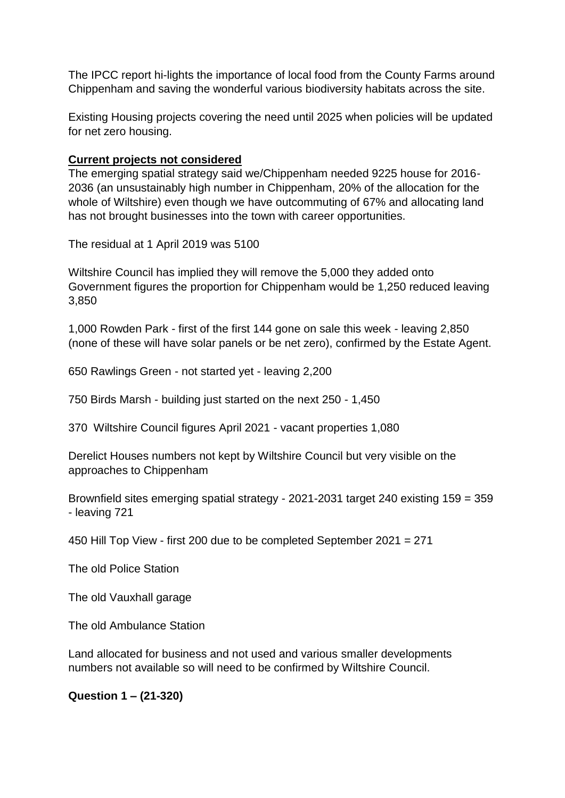The IPCC report hi-lights the importance of local food from the County Farms around Chippenham and saving the wonderful various biodiversity habitats across the site.

Existing Housing projects covering the need until 2025 when policies will be updated for net zero housing.

#### **Current projects not considered**

The emerging spatial strategy said we/Chippenham needed 9225 house for 2016- 2036 (an unsustainably high number in Chippenham, 20% of the allocation for the whole of Wiltshire) even though we have outcommuting of 67% and allocating land has not brought businesses into the town with career opportunities.

The residual at 1 April 2019 was 5100

Wiltshire Council has implied they will remove the 5,000 they added onto Government figures the proportion for Chippenham would be 1,250 reduced leaving 3,850

1,000 Rowden Park - first of the first 144 gone on sale this week - leaving 2,850 (none of these will have solar panels or be net zero), confirmed by the Estate Agent.

650 Rawlings Green - not started yet - leaving 2,200

750 Birds Marsh - building just started on the next 250 - 1,450

370 Wiltshire Council figures April 2021 - vacant properties 1,080

Derelict Houses numbers not kept by Wiltshire Council but very visible on the approaches to Chippenham

Brownfield sites emerging spatial strategy - 2021-2031 target 240 existing 159 = 359 - leaving 721

450 Hill Top View - first 200 due to be completed September 2021 = 271

The old Police Station

The old Vauxhall garage

The old Ambulance Station

Land allocated for business and not used and various smaller developments numbers not available so will need to be confirmed by Wiltshire Council.

#### **Question 1 – (21-320)**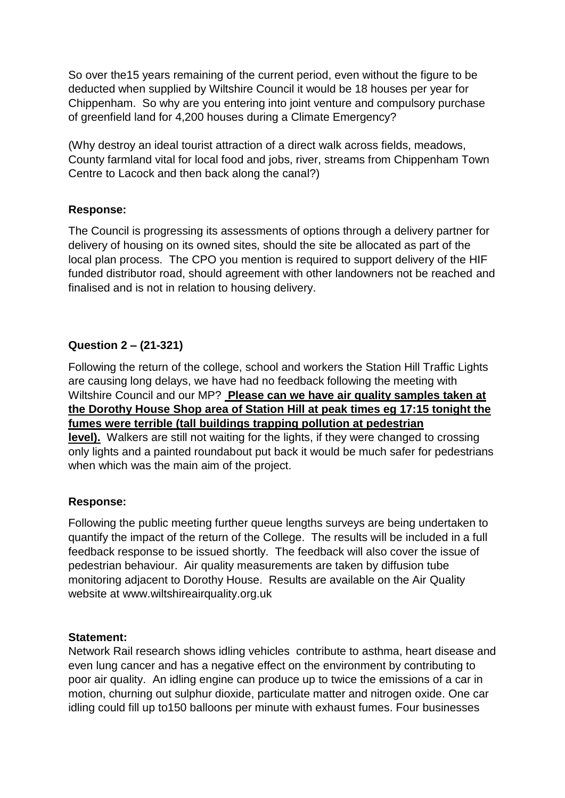So over the15 years remaining of the current period, even without the figure to be deducted when supplied by Wiltshire Council it would be 18 houses per year for Chippenham. So why are you entering into joint venture and compulsory purchase of greenfield land for 4,200 houses during a Climate Emergency?

(Why destroy an ideal tourist attraction of a direct walk across fields, meadows, County farmland vital for local food and jobs, river, streams from Chippenham Town Centre to Lacock and then back along the canal?)

## **Response:**

The Council is progressing its assessments of options through a delivery partner for delivery of housing on its owned sites, should the site be allocated as part of the local plan process. The CPO you mention is required to support delivery of the HIF funded distributor road, should agreement with other landowners not be reached and finalised and is not in relation to housing delivery.

# **Question 2 – (21-321)**

Following the return of the college, school and workers the Station Hill Traffic Lights are causing long delays, we have had no feedback following the meeting with Wiltshire Council and our MP? **Please can we have air quality samples taken at the Dorothy House Shop area of Station Hill at peak times eg 17:15 tonight the fumes were terrible (tall buildings trapping pollution at pedestrian** 

**level).** Walkers are still not waiting for the lights, if they were changed to crossing only lights and a painted roundabout put back it would be much safer for pedestrians when which was the main aim of the project.

## **Response:**

Following the public meeting further queue lengths surveys are being undertaken to quantify the impact of the return of the College. The results will be included in a full feedback response to be issued shortly. The feedback will also cover the issue of pedestrian behaviour. Air quality measurements are taken by diffusion tube monitoring adjacent to Dorothy House. Results are available on the Air Quality website at www.wiltshireairquality.org.uk

## **Statement:**

Network Rail research shows idling vehicles contribute to asthma, heart disease and even lung cancer and has a negative effect on the environment by contributing to poor air quality. An idling engine can produce up to twice the emissions of a car in motion, churning out sulphur dioxide, particulate matter and nitrogen oxide. One car idling could fill up to150 balloons per minute with exhaust fumes. Four businesses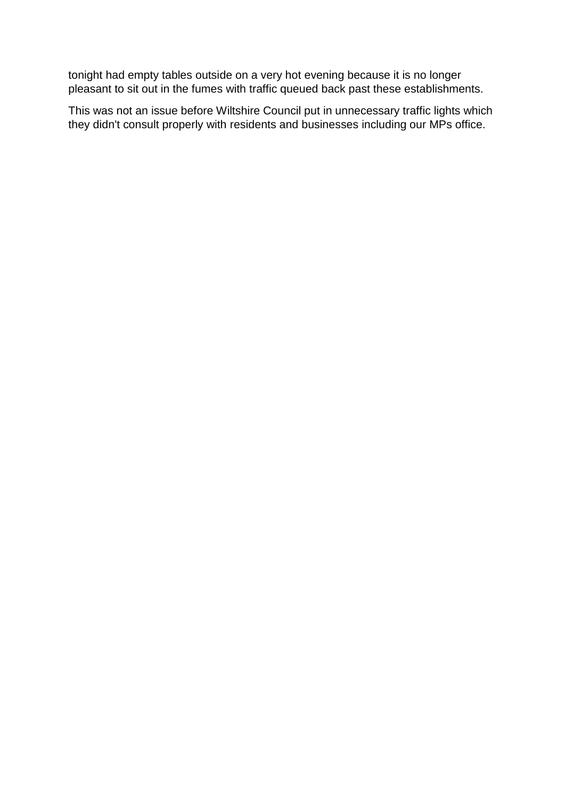tonight had empty tables outside on a very hot evening because it is no longer pleasant to sit out in the fumes with traffic queued back past these establishments.

This was not an issue before Wiltshire Council put in unnecessary traffic lights which they didn't consult properly with residents and businesses including our MPs office.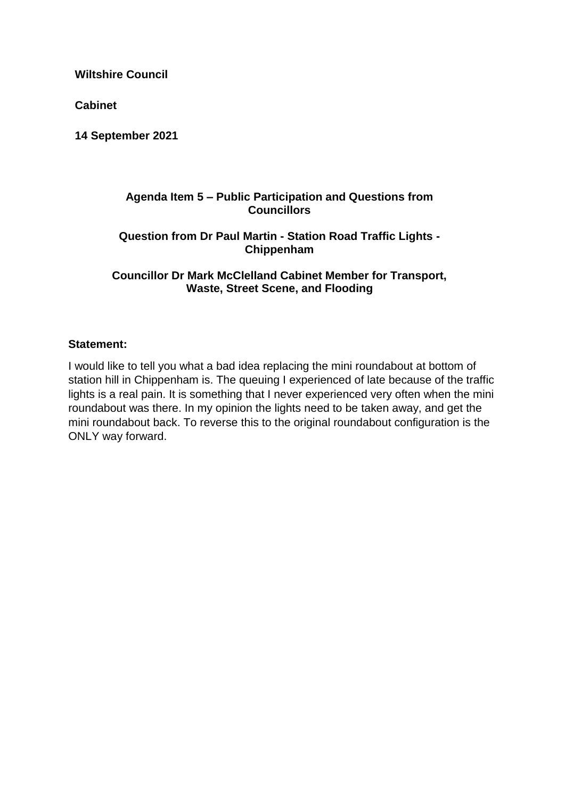**Cabinet**

**14 September 2021**

#### **Agenda Item 5 – Public Participation and Questions from Councillors**

### **Question from Dr Paul Martin - Station Road Traffic Lights - Chippenham**

**Councillor Dr Mark McClelland Cabinet Member for Transport, Waste, Street Scene, and Flooding** 

### **Statement:**

I would like to tell you what a bad idea replacing the mini roundabout at bottom of station hill in Chippenham is. The queuing I experienced of late because of the traffic lights is a real pain. It is something that I never experienced very often when the mini roundabout was there. In my opinion the lights need to be taken away, and get the mini roundabout back. To reverse this to the original roundabout configuration is the ONLY way forward.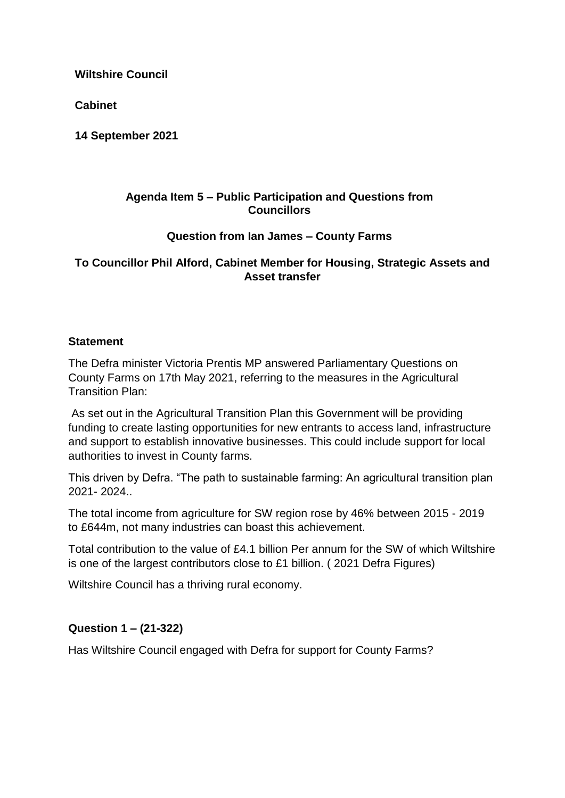**Cabinet**

**14 September 2021**

#### **Agenda Item 5 – Public Participation and Questions from Councillors**

### **Question from Ian James – County Farms**

### **To Councillor Phil Alford, Cabinet Member for Housing, Strategic Assets and Asset transfer**

### **Statement**

The Defra minister Victoria Prentis MP answered Parliamentary Questions on County Farms on 17th May 2021, referring to the measures in the Agricultural Transition Plan:

As set out in the Agricultural Transition Plan this Government will be providing funding to create lasting opportunities for new entrants to access land, infrastructure and support to establish innovative businesses. This could include support for local authorities to invest in County farms.

This driven by Defra. "The path to sustainable farming: An agricultural transition plan 2021- 2024..

The total income from agriculture for SW region rose by 46% between 2015 - 2019 to £644m, not many industries can boast this achievement.

Total contribution to the value of £4.1 billion Per annum for the SW of which Wiltshire is one of the largest contributors close to £1 billion. ( 2021 Defra Figures)

Wiltshire Council has a thriving rural economy.

## **Question 1 – (21-322)**

Has Wiltshire Council engaged with Defra for support for County Farms?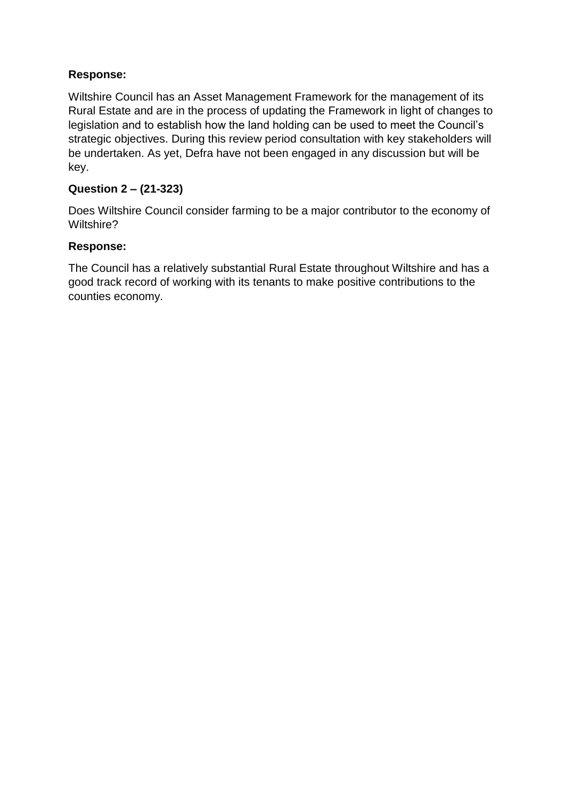# **Response:**

Wiltshire Council has an Asset Management Framework for the management of its Rural Estate and are in the process of updating the Framework in light of changes to legislation and to establish how the land holding can be used to meet the Council's strategic objectives. During this review period consultation with key stakeholders will be undertaken. As yet, Defra have not been engaged in any discussion but will be key.

# **Question 2 – (21-323)**

Does Wiltshire Council consider farming to be a major contributor to the economy of Wiltshire?

### **Response:**

The Council has a relatively substantial Rural Estate throughout Wiltshire and has a good track record of working with its tenants to make positive contributions to the counties economy.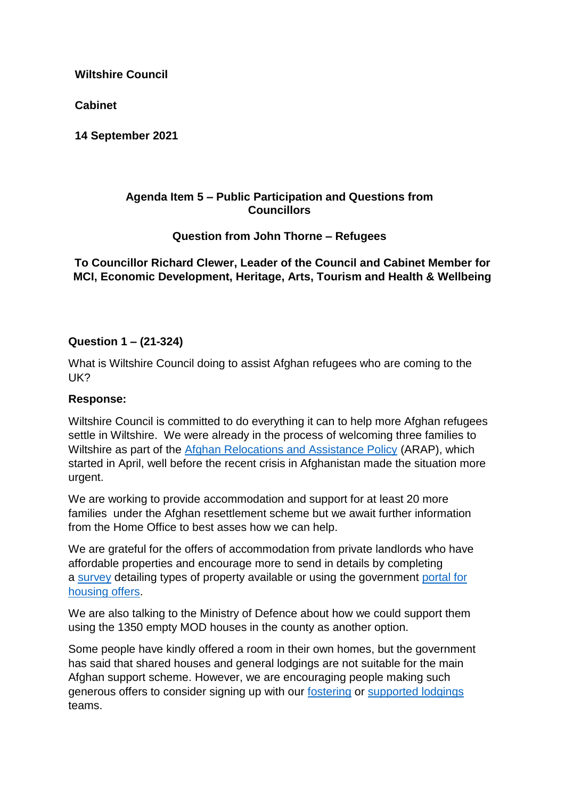**Cabinet**

**14 September 2021**

### **Agenda Item 5 – Public Participation and Questions from Councillors**

**Question from John Thorne – Refugees**

**To Councillor Richard Clewer, Leader of the Council and Cabinet Member for MCI, Economic Development, Heritage, Arts, Tourism and Health & Wellbeing**

# **Question 1 – (21-324)**

What is Wiltshire Council doing to assist Afghan refugees who are coming to the UK?

## **Response:**

Wiltshire Council is committed to do everything it can to help more Afghan refugees settle in Wiltshire. We were already in the process of welcoming three families to Wiltshire as part of the [Afghan Relocations and Assistance Policy](https://eur02.safelinks.protection.outlook.com/?url=https%3A%2F%2Fwww.gov.uk%2Fgovernment%2Fpublications%2Fafghan-relocations-and-assistance-policy%2Fafghan-relocations-and-assistance-policy-information-and-guidance&data=04%7C01%7CStuart.Figini%40wiltshire.gov.uk%7Ced95310f74b9444c9a3708d97431a329%7C5546e75e3be14813b0ff26651ea2fe19%7C0%7C0%7C637668578798194814%7CUnknown%7CTWFpbGZsb3d8eyJWIjoiMC4wLjAwMDAiLCJQIjoiV2luMzIiLCJBTiI6Ik1haWwiLCJXVCI6Mn0%3D%7C1000&sdata=iNhqPne7jgqquBpU3EMoQZI3sQMKP3i%2BNvh0mCPpQ7A%3D&reserved=0) (ARAP), which started in April, well before the recent crisis in Afghanistan made the situation more urgent.

We are working to provide accommodation and support for at least 20 more families under the Afghan resettlement scheme but we await further information from the Home Office to best asses how we can help.

We are grateful for the offers of accommodation from private landlords who have affordable properties and encourage more to send in details by completing a [survey](https://eur02.safelinks.protection.outlook.com/?url=https%3A%2F%2Fsurveys.wiltshire.gov.uk%2Fsnapwebhost%2Fs.asp%3Fk%3D163051361750&data=04%7C01%7CStuart.Figini%40wiltshire.gov.uk%7Ced95310f74b9444c9a3708d97431a329%7C5546e75e3be14813b0ff26651ea2fe19%7C0%7C0%7C637668578798204772%7CUnknown%7CTWFpbGZsb3d8eyJWIjoiMC4wLjAwMDAiLCJQIjoiV2luMzIiLCJBTiI6Ik1haWwiLCJXVCI6Mn0%3D%7C1000&sdata=hxhiFdvsVK3f3VjCd7VE5tTCptqn7jEz%2Bqz92%2FDFi5o%3D&reserved=0) detailing types of property available or using the government [portal for](https://eur02.safelinks.protection.outlook.com/?url=https%3A%2F%2Fwww.gov.uk%2Fgovernment%2Fpublications%2Fafghanistan-housing-portal-offers-of-support&data=04%7C01%7CStuart.Figini%40wiltshire.gov.uk%7Ced95310f74b9444c9a3708d97431a329%7C5546e75e3be14813b0ff26651ea2fe19%7C0%7C0%7C637668578798204772%7CUnknown%7CTWFpbGZsb3d8eyJWIjoiMC4wLjAwMDAiLCJQIjoiV2luMzIiLCJBTiI6Ik1haWwiLCJXVCI6Mn0%3D%7C1000&sdata=zMMXikJihuxMzdHx%2B7kwvXw64TRzEhRYW3MNVWDDpIw%3D&reserved=0)  [housing offers.](https://eur02.safelinks.protection.outlook.com/?url=https%3A%2F%2Fwww.gov.uk%2Fgovernment%2Fpublications%2Fafghanistan-housing-portal-offers-of-support&data=04%7C01%7CStuart.Figini%40wiltshire.gov.uk%7Ced95310f74b9444c9a3708d97431a329%7C5546e75e3be14813b0ff26651ea2fe19%7C0%7C0%7C637668578798204772%7CUnknown%7CTWFpbGZsb3d8eyJWIjoiMC4wLjAwMDAiLCJQIjoiV2luMzIiLCJBTiI6Ik1haWwiLCJXVCI6Mn0%3D%7C1000&sdata=zMMXikJihuxMzdHx%2B7kwvXw64TRzEhRYW3MNVWDDpIw%3D&reserved=0)

We are also talking to the Ministry of Defence about how we could support them using the 1350 empty MOD houses in the county as another option.

Some people have kindly offered a room in their own homes, but the government has said that shared houses and general lodgings are not suitable for the main Afghan support scheme. However, we are encouraging people making such generous offers to consider signing up with our [fostering](https://eur02.safelinks.protection.outlook.com/?url=https%3A%2F%2Ffosteringwiltshire.uk%2F&data=04%7C01%7CStuart.Figini%40wiltshire.gov.uk%7Ced95310f74b9444c9a3708d97431a329%7C5546e75e3be14813b0ff26651ea2fe19%7C0%7C0%7C637668578798214740%7CUnknown%7CTWFpbGZsb3d8eyJWIjoiMC4wLjAwMDAiLCJQIjoiV2luMzIiLCJBTiI6Ik1haWwiLCJXVCI6Mn0%3D%7C1000&sdata=VZQcID%2BMMMDnIQL%2BXO8jUsJw5ro9VHkfue%2FPAU5eUkE%3D&reserved=0) or [supported lodgings](https://eur02.safelinks.protection.outlook.com/?url=https%3A%2F%2Fwww.wiltshire.gov.uk%2Ffostering-supported-lodgings&data=04%7C01%7CStuart.Figini%40wiltshire.gov.uk%7Ced95310f74b9444c9a3708d97431a329%7C5546e75e3be14813b0ff26651ea2fe19%7C0%7C0%7C637668578798214740%7CUnknown%7CTWFpbGZsb3d8eyJWIjoiMC4wLjAwMDAiLCJQIjoiV2luMzIiLCJBTiI6Ik1haWwiLCJXVCI6Mn0%3D%7C1000&sdata=ToahX99jdYl0HEgWwZ9N%2BQk5zO1RiFO3IvkIR%2FypH7c%3D&reserved=0) teams.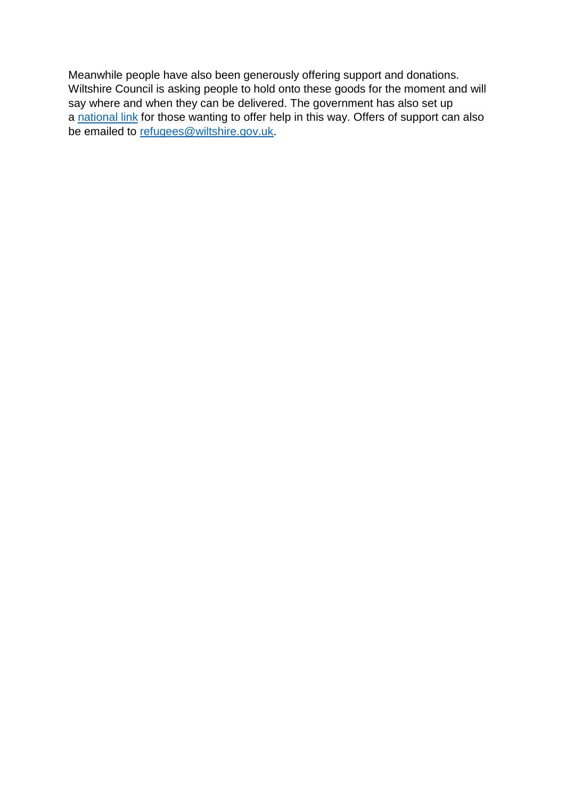Meanwhile people have also been generously offering support and donations. Wiltshire Council is asking people to hold onto these goods for the moment and will say where and when they can be delivered. The government has also set up a [national link](https://eur02.safelinks.protection.outlook.com/?url=https%3A%2F%2Fwww.gov.uk%2Fhelp-refugees&data=04%7C01%7CStuart.Figini%40wiltshire.gov.uk%7Ced95310f74b9444c9a3708d97431a329%7C5546e75e3be14813b0ff26651ea2fe19%7C0%7C0%7C637668578798214740%7CUnknown%7CTWFpbGZsb3d8eyJWIjoiMC4wLjAwMDAiLCJQIjoiV2luMzIiLCJBTiI6Ik1haWwiLCJXVCI6Mn0%3D%7C1000&sdata=zboE%2BcUjnPmM1B8tr2TR17BDyndEfEXqGETKUUisfbA%3D&reserved=0) for those wanting to offer help in this way. Offers of support can also be emailed to [refugees@wiltshire.gov.uk.](mailto:refugees@wiltshire.gov.uk)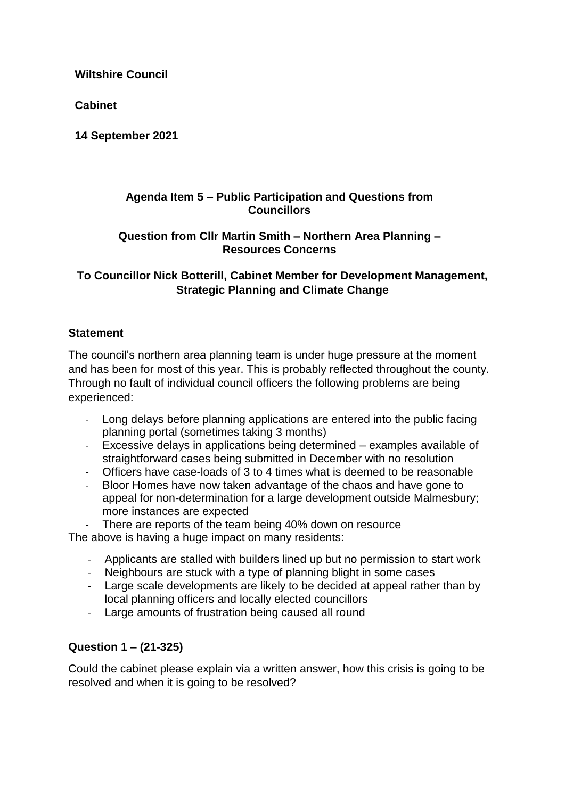**Cabinet**

**14 September 2021**

### **Agenda Item 5 – Public Participation and Questions from Councillors**

### **Question from Cllr Martin Smith – Northern Area Planning – Resources Concerns**

## **To Councillor Nick Botterill, Cabinet Member for Development Management, Strategic Planning and Climate Change**

## **Statement**

The council's northern area planning team is under huge pressure at the moment and has been for most of this year. This is probably reflected throughout the county. Through no fault of individual council officers the following problems are being experienced:

- Long delays before planning applications are entered into the public facing planning portal (sometimes taking 3 months)
- Excessive delays in applications being determined examples available of straightforward cases being submitted in December with no resolution
- Officers have case-loads of 3 to 4 times what is deemed to be reasonable
- Bloor Homes have now taken advantage of the chaos and have gone to appeal for non-determination for a large development outside Malmesbury; more instances are expected

There are reports of the team being 40% down on resource The above is having a huge impact on many residents:

- Applicants are stalled with builders lined up but no permission to start work
- Neighbours are stuck with a type of planning blight in some cases
- Large scale developments are likely to be decided at appeal rather than by local planning officers and locally elected councillors
- Large amounts of frustration being caused all round

# **Question 1 – (21-325)**

Could the cabinet please explain via a written answer, how this crisis is going to be resolved and when it is going to be resolved?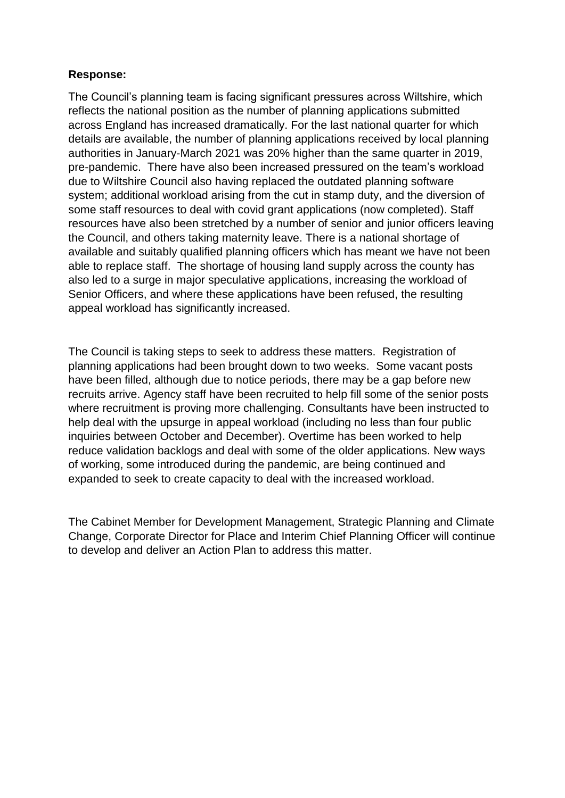## **Response:**

The Council's planning team is facing significant pressures across Wiltshire, which reflects the national position as the number of planning applications submitted across England has increased dramatically. For the last national quarter for which details are available, the number of planning applications received by local planning authorities in January-March 2021 was 20% higher than the same quarter in 2019, pre-pandemic. There have also been increased pressured on the team's workload due to Wiltshire Council also having replaced the outdated planning software system; additional workload arising from the cut in stamp duty, and the diversion of some staff resources to deal with covid grant applications (now completed). Staff resources have also been stretched by a number of senior and junior officers leaving the Council, and others taking maternity leave. There is a national shortage of available and suitably qualified planning officers which has meant we have not been able to replace staff. The shortage of housing land supply across the county has also led to a surge in major speculative applications, increasing the workload of Senior Officers, and where these applications have been refused, the resulting appeal workload has significantly increased.

The Council is taking steps to seek to address these matters. Registration of planning applications had been brought down to two weeks. Some vacant posts have been filled, although due to notice periods, there may be a gap before new recruits arrive. Agency staff have been recruited to help fill some of the senior posts where recruitment is proving more challenging. Consultants have been instructed to help deal with the upsurge in appeal workload (including no less than four public inquiries between October and December). Overtime has been worked to help reduce validation backlogs and deal with some of the older applications. New ways of working, some introduced during the pandemic, are being continued and expanded to seek to create capacity to deal with the increased workload.

The Cabinet Member for Development Management, Strategic Planning and Climate Change, Corporate Director for Place and Interim Chief Planning Officer will continue to develop and deliver an Action Plan to address this matter.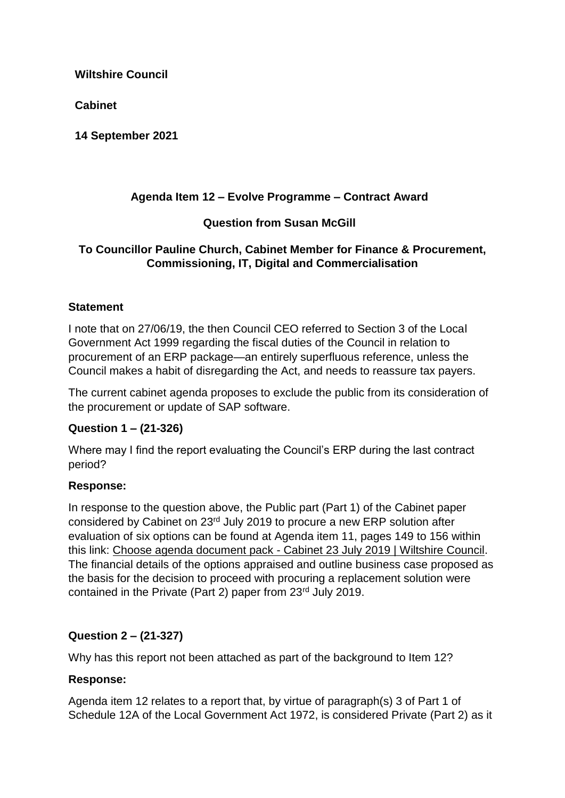**Cabinet**

**14 September 2021**

# **Agenda Item 12 – Evolve Programme – Contract Award**

# **Question from Susan McGill**

## **To Councillor Pauline Church, Cabinet Member for Finance & Procurement, Commissioning, IT, Digital and Commercialisation**

## **Statement**

I note that on 27/06/19, the then Council CEO referred to Section 3 of the Local Government Act 1999 regarding the fiscal duties of the Council in relation to procurement of an ERP package—an entirely superfluous reference, unless the Council makes a habit of disregarding the Act, and needs to reassure tax payers.

The current cabinet agenda proposes to exclude the public from its consideration of the procurement or update of SAP software.

## **Question 1 – (21-326)**

Where may I find the report evaluating the Council's ERP during the last contract period?

## **Response:**

In response to the question above, the Public part (Part 1) of the Cabinet paper considered by Cabinet on 23rd July 2019 to procure a new ERP solution after evaluation of six options can be found at Agenda item 11, pages 149 to 156 within this link: Choose agenda document pack - [Cabinet 23 July 2019 | Wiltshire Council.](https://eur02.safelinks.protection.outlook.com/?url=https%3A%2F%2Fcms.wiltshire.gov.uk%2FmgChooseDocPack.aspx%3FID%3D12816&data=04%7C01%7CStuart.Figini%40wiltshire.gov.uk%7C62ab6374b79e4419e87b08d97398f283%7C5546e75e3be14813b0ff26651ea2fe19%7C0%7C0%7C637667923022010108%7CUnknown%7CTWFpbGZsb3d8eyJWIjoiMC4wLjAwMDAiLCJQIjoiV2luMzIiLCJBTiI6Ik1haWwiLCJXVCI6Mn0%3D%7C1000&sdata=k%2Fvf5HAeh2hKTrS6umjv0cBniIUpZHR%2F%2BTRefVVsrxE%3D&reserved=0) The financial details of the options appraised and outline business case proposed as the basis for the decision to proceed with procuring a replacement solution were contained in the Private (Part 2) paper from 23rd July 2019.

## **Question 2 – (21-327)**

Why has this report not been attached as part of the background to Item 12?

## **Response:**

Agenda item 12 relates to a report that, by virtue of paragraph(s) 3 of Part 1 of Schedule 12A of the Local Government Act 1972, is considered Private (Part 2) as it